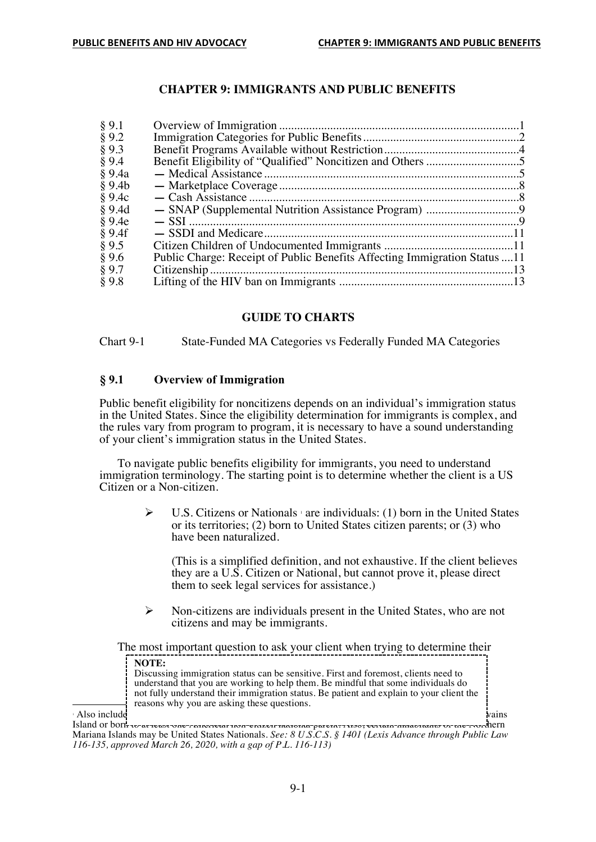# **CHAPTER 9: IMMIGRANTS AND PUBLIC BENEFITS**

| § 9.1    |                                                                            |  |
|----------|----------------------------------------------------------------------------|--|
| § 9.2    |                                                                            |  |
| § 9.3    |                                                                            |  |
| § 9.4    |                                                                            |  |
| § 9.4a   |                                                                            |  |
| § 9.4b   |                                                                            |  |
| § 9.4c   |                                                                            |  |
| $§$ 9.4d |                                                                            |  |
| § 9.4e   |                                                                            |  |
| § 9.4f   |                                                                            |  |
| § 9.5    |                                                                            |  |
| §9.6     | Public Charge: Receipt of Public Benefits Affecting Immigration Status  11 |  |
| § 9.7    |                                                                            |  |
| §9.8     |                                                                            |  |
|          |                                                                            |  |

# **GUIDE TO CHARTS**

Chart 9-1 State-Funded MA Categories vs Federally Funded MA Categories

#### **§ 9.1 Overview of Immigration**

Public benefit eligibility for noncitizens depends on an individual's immigration status in the United States. Since the eligibility determination for immigrants is complex, and the rules vary from program to program, it is necessary to have a sound understanding of your client's immigration status in the United States.

To navigate public benefits eligibility for immigrants, you need to understand immigration terminology. The starting point is to determine whether the client is a US Citizen or a Non-citizen.

> $\triangleright$  U.S. Citizens or Nationals <sup>1</sup> are individuals: (1) born in the United States or its territories; (2) born to United States citizen parents; or (3) who have been naturalized.

(This is a simplified definition, and not exhaustive. If the client believes they are a U.S. Citizen or National, but cannot prove it, please direct them to seek legal services for assistance.)

 $\triangleright$  Non-citizens are individuals present in the United States, who are not citizens and may be immigrants.

The most important question to ask your client when trying to determine their

|              | <b>NOTE:</b>                                                                             |       |
|--------------|------------------------------------------------------------------------------------------|-------|
|              | Discussing immigration status can be sensitive. First and foremost, clients need to      |       |
|              | understand that you are working to help them. Be mindful that some individuals do        |       |
|              | not fully understand their immigration status. Be patient and explain to your client the |       |
|              | reasons why you are asking these questions.                                              |       |
| Also include |                                                                                          | vains |

Island or born to at least one-caitoactar itoa-etazcit national-parent. Also, certain-amacitants of the Americ Mariana Islands may be United States Nationals. *See: 8 U.S.C.S. § 1401 (Lexis Advance through Public Law 116-135, approved March 26, 2020, with a gap of P.L. 116-113)*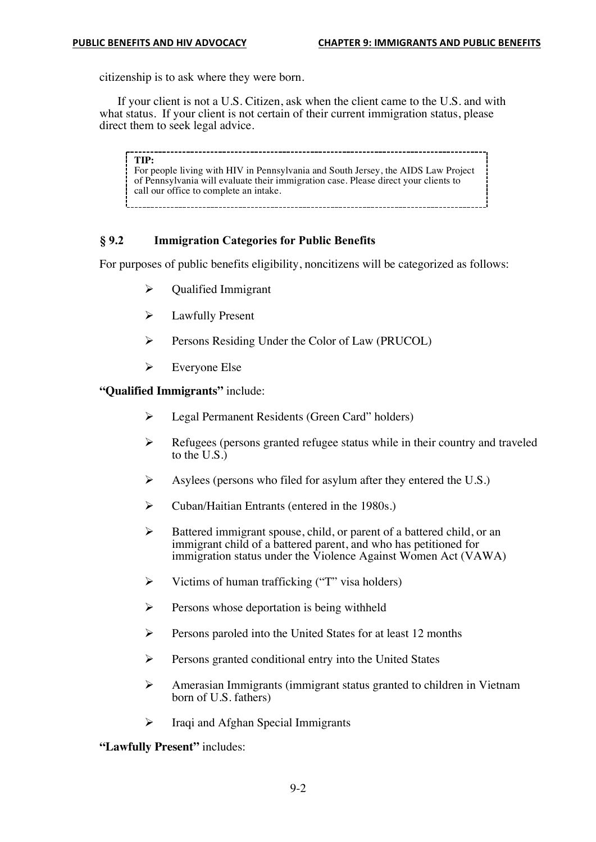citizenship is to ask where they were born.

If your client is not a U.S. Citizen, ask when the client came to the U.S. and with what status. If your client is not certain of their current immigration status, please direct them to seek legal advice.

**TIP:** For people living with HIV in Pennsylvania and South Jersey, the AIDS Law Project of Pennsylvania will evaluate their immigration case. Please direct your clients to call our office to complete an intake.

#### **§ 9.2 Immigration Categories for Public Benefits**

For purposes of public benefits eligibility, noncitizens will be categorized as follows:

- $\triangleright$  Qualified Immigrant
- $\blacktriangleright$  Lawfully Present
- Ø Persons Residing Under the Color of Law (PRUCOL)
- $\triangleright$  Everyone Else

**"Qualified Immigrants"** include:

- Ø Legal Permanent Residents (Green Card" holders)
- $\triangleright$  Refugees (persons granted refugee status while in their country and traveled to the  $U.S.\overline{)}$
- $\triangleright$  Asylees (persons who filed for asylum after they entered the U.S.)
- Ø Cuban/Haitian Entrants (entered in the 1980s.)
- Ø Battered immigrant spouse, child, or parent of a battered child, or an immigrant child of a battered parent, and who has petitioned for immigration status under the Violence Against Women Act (VAWA)
- $\triangleright$  Victims of human trafficking ("T" visa holders)
- $\triangleright$  Persons whose deportation is being withheld
- $\triangleright$  Persons paroled into the United States for at least 12 months
- $\triangleright$  Persons granted conditional entry into the United States
- $\triangleright$  Amerasian Immigrants (immigrant status granted to children in Vietnam born of U.S. fathers)
- $\triangleright$  Iraqi and Afghan Special Immigrants

**"Lawfully Present"** includes: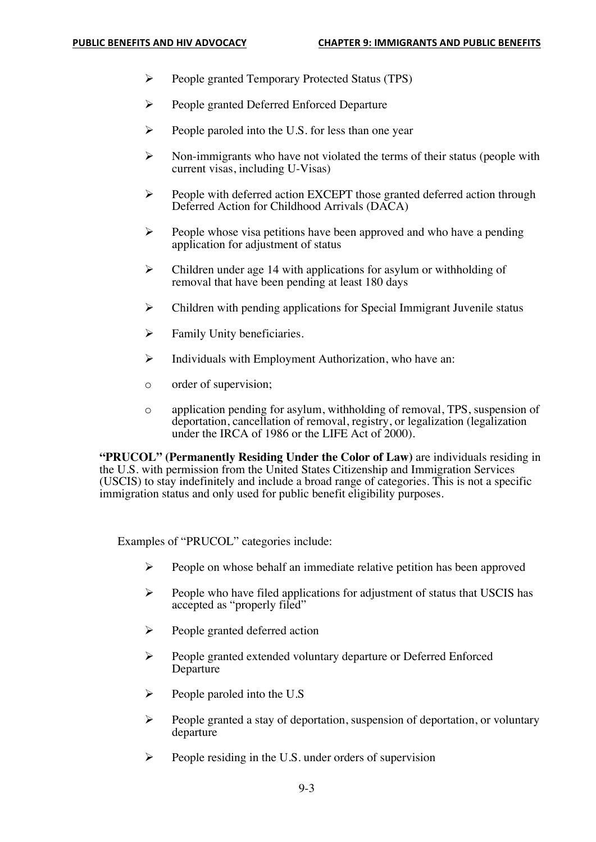- Ø People granted Temporary Protected Status (TPS)
- Ø People granted Deferred Enforced Departure
- $\triangleright$  People paroled into the U.S. for less than one year
- $\triangleright$  Non-immigrants who have not violated the terms of their status (people with current visas, including U-Visas)
- Ø People with deferred action EXCEPT those granted deferred action through Deferred Action for Childhood Arrivals (DACA)
- $\triangleright$  People whose visa petitions have been approved and who have a pending application for adjustment of status
- $\triangleright$  Children under age 14 with applications for asylum or withholding of removal that have been pending at least 180 days
- $\triangleright$  Children with pending applications for Special Immigrant Juvenile status
- $\triangleright$  Family Unity beneficiaries.
- $\triangleright$  Individuals with Employment Authorization, who have an:
- o order of supervision;
- o application pending for asylum, withholding of removal, TPS, suspension of deportation, cancellation of removal, registry, or legalization (legalization under the IRCA of 1986 or the LIFE Act of 2000).

**"PRUCOL" (Permanently Residing Under the Color of Law)** are individuals residing in the U.S. with permission from the United States Citizenship and Immigration Services (USCIS) to stay indefinitely and include a broad range of categories. This is not a specific immigration status and only used for public benefit eligibility purposes.

Examples of "PRUCOL" categories include:

- $\triangleright$  People on whose behalf an immediate relative petition has been approved
- $\triangleright$  People who have filed applications for adjustment of status that USCIS has accepted as "properly filed"
- $\triangleright$  People granted deferred action
- Ø People granted extended voluntary departure or Deferred Enforced Departure
- $\triangleright$  People paroled into the U.S
- $\triangleright$  People granted a stay of deportation, suspension of deportation, or voluntary departure
- $\triangleright$  People residing in the U.S. under orders of supervision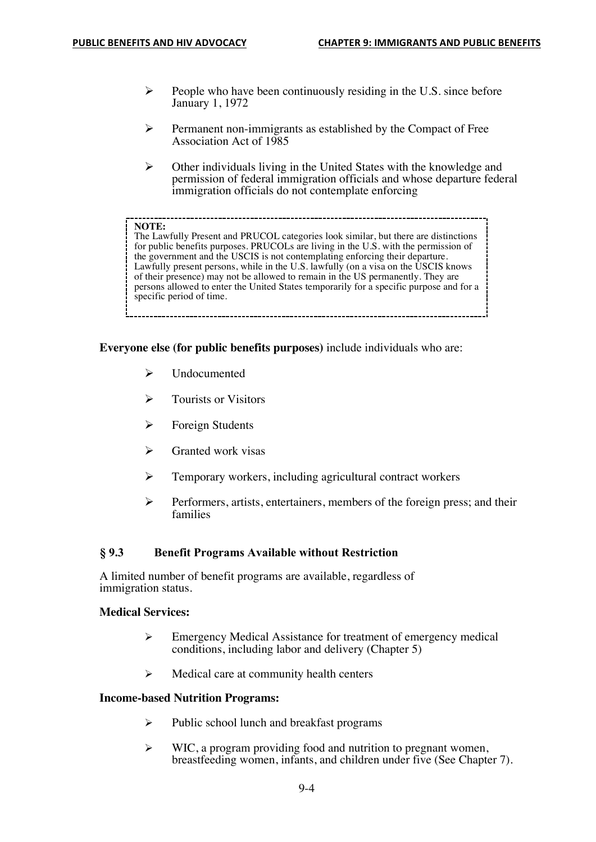- $\triangleright$  People who have been continuously residing in the U.S. since before January 1, 1972
- $\triangleright$  Permanent non-immigrants as established by the Compact of Free Association Act of 1985
- $\triangleright$  Other individuals living in the United States with the knowledge and permission of federal immigration officials and whose departure federal immigration officials do not contemplate enforcing

#### **NOTE:**

The Lawfully Present and PRUCOL categories look similar, but there are distinctions for public benefits purposes. PRUCOLs are living in the U.S. with the permission of the government and the USCIS is not contemplating enforcing their departure. Lawfully present persons, while in the U.S. lawfully (on a visa on the USCIS knows of their presence) may not be allowed to remain in the US permanently. They are persons allowed to enter the United States temporarily for a specific purpose and for a specific period of time.

**Everyone else (for public benefits purposes)** include individuals who are:

- $\triangleright$  Undocumented
- $\triangleright$  Tourists or Visitors
- $\triangleright$  Foreign Students
- Granted work visas
- $\triangleright$  Temporary workers, including agricultural contract workers
- $\triangleright$  Performers, artists, entertainers, members of the foreign press; and their families

#### **§ 9.3 Benefit Programs Available without Restriction**

A limited number of benefit programs are available, regardless of immigration status.

#### **Medical Services:**

- $\triangleright$  Emergency Medical Assistance for treatment of emergency medical conditions, including labor and delivery (Chapter 5)
- $\triangleright$  Medical care at community health centers

## **Income-based Nutrition Programs:**

- $\triangleright$  Public school lunch and breakfast programs
- <sup>Ø</sup> WIC, a program providing food and nutrition to pregnant women, breastfeeding women, infants, and children under five (See Chapter 7).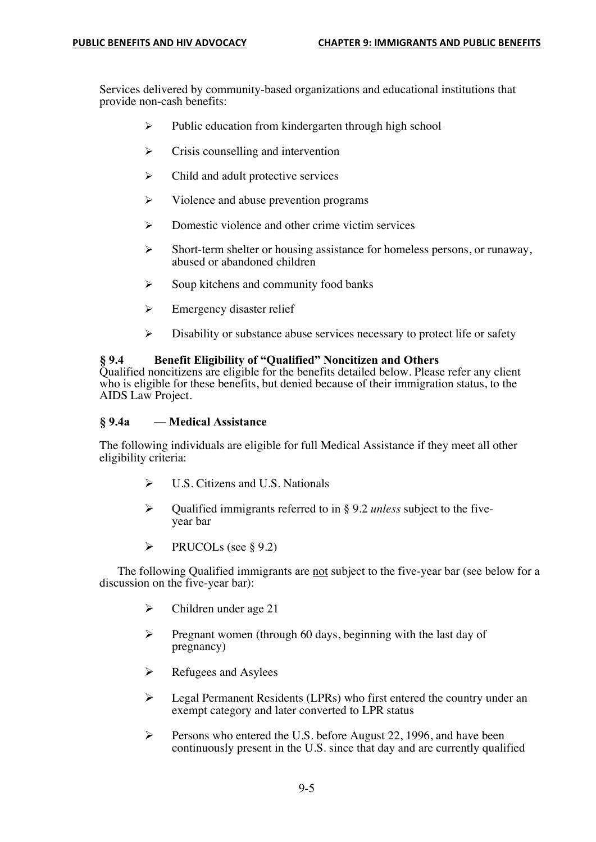Services delivered by community-based organizations and educational institutions that provide non-cash benefits:

- $\triangleright$  Public education from kindergarten through high school
- $\triangleright$  Crisis counselling and intervention
- $\triangleright$  Child and adult protective services
- $\triangleright$  Violence and abuse prevention programs
- Domestic violence and other crime victim services
- $\triangleright$  Short-term shelter or housing assistance for homeless persons, or runaway, abused or abandoned children
- $\triangleright$  Soup kitchens and community food banks
- $\triangleright$  Emergency disaster relief
- $\triangleright$  Disability or substance abuse services necessary to protect life or safety

## **§ 9.4 Benefit Eligibility of "Qualified" Noncitizen and Others**

Qualified noncitizens are eligible for the benefits detailed below. Please refer any client who is eligible for these benefits, but denied because of their immigration status, to the AIDS Law Project.

## **§ 9.4a — Medical Assistance**

The following individuals are eligible for full Medical Assistance if they meet all other eligibility criteria:

- $\triangleright$  U.S. Citizens and U.S. Nationals
- Ø Qualified immigrants referred to in § 9.2 *unless* subject to the fiveyear bar
- $\triangleright$  PRUCOLs (see § 9.2)

The following Qualified immigrants are not subject to the five-year bar (see below for a discussion on the five-year bar):

- $\triangleright$  Children under age 21
- $\triangleright$  Pregnant women (through 60 days, beginning with the last day of pregnancy)
- $\triangleright$  Refugees and Asylees
- $\triangleright$  Legal Permanent Residents (LPRs) who first entered the country under an exempt category and later converted to LPR status
- $\triangleright$  Persons who entered the U.S. before August 22, 1996, and have been continuously present in the U.S. since that day and are currently qualified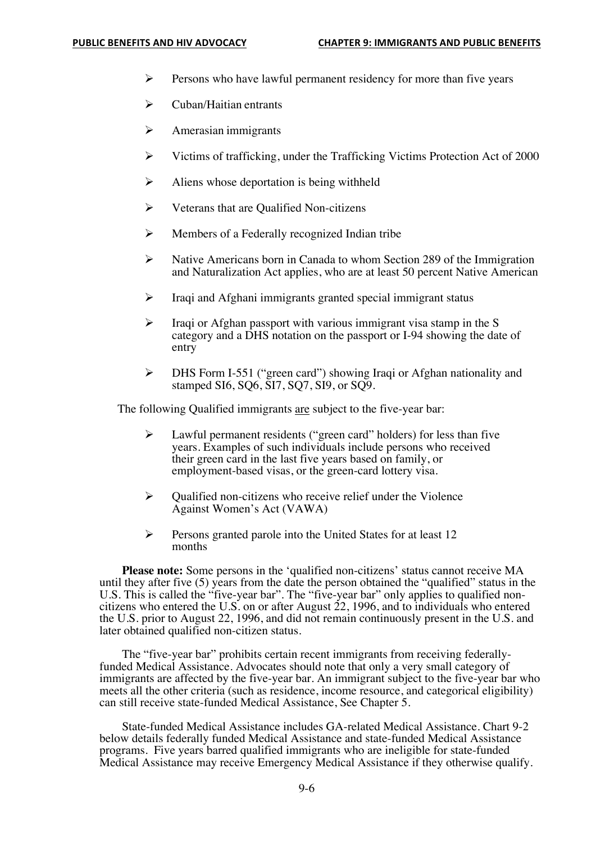- $\triangleright$  Persons who have lawful permanent residency for more than five years
- $\triangleright$  Cuban/Haitian entrants
- $\triangleright$  Amerasian immigrants
- $\triangleright$  Victims of trafficking, under the Trafficking Victims Protection Act of 2000
- $\triangleright$  Aliens whose deportation is being withheld
- $\triangleright$  Veterans that are Qualified Non-citizens
- $\triangleright$  Members of a Federally recognized Indian tribe
- Ø Native Americans born in Canada to whom Section 289 of the Immigration and Naturalization Act applies, who are at least 50 percent Native American
- $\triangleright$  Iraqi and Afghani immigrants granted special immigrant status
- $\triangleright$  Iraqi or Afghan passport with various immigrant visa stamp in the S category and a DHS notation on the passport or I-94 showing the date of entry
- $\triangleright$  DHS Form I-551 ("green card") showing Iraqi or Afghan nationality and stamped SI6, SQ6, SI7, SQ7, SI9, or SQ9.

The following Qualified immigrants are subject to the five-year bar:

- $\triangleright$  Lawful permanent residents ("green card" holders) for less than five years. Examples of such individuals include persons who received their green card in the last five years based on family, or employment-based visas, or the green-card lottery visa.
- $\triangleright$  Qualified non-citizens who receive relief under the Violence Against Women's Act (VAWA)
- $\triangleright$  Persons granted parole into the United States for at least 12 months

**Please note:** Some persons in the 'qualified non-citizens' status cannot receive MA until they after five (5) years from the date the person obtained the "qualified" status in the U.S. This is called the "five-year bar". The "five-year bar" only applies to qualified noncitizens who entered the U.S. on or after August 22, 1996, and to individuals who entered the U.S. prior to August 22, 1996, and did not remain continuously present in the U.S. and later obtained qualified non-citizen status.

The "five-year bar" prohibits certain recent immigrants from receiving federallyfunded Medical Assistance. Advocates should note that only a very small category of immigrants are affected by the five-year bar. An immigrant subject to the five-year bar who meets all the other criteria (such as residence, income resource, and categorical eligibility) can still receive state-funded Medical Assistance, See Chapter 5.

State-funded Medical Assistance includes GA-related Medical Assistance. Chart 9-2 below details federally funded Medical Assistance and state-funded Medical Assistance programs. Five years barred qualified immigrants who are ineligible for state-funded Medical Assistance may receive Emergency Medical Assistance if they otherwise qualify.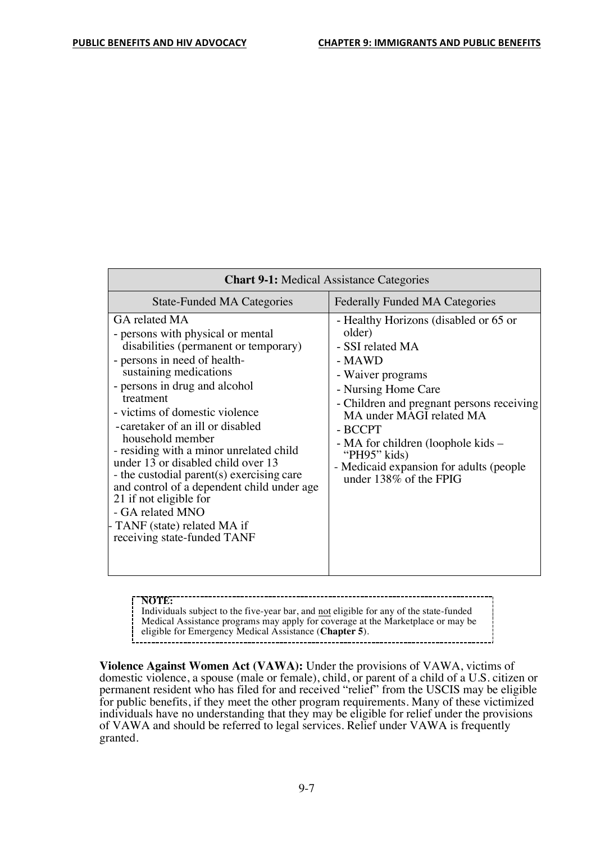| <b>Chart 9-1:</b> Medical Assistance Categories                                                                                                                                                                                                                                                                                                                                                                                                                                                                                                                                          |                                                                                                                                                                                                                                                                                                                                          |  |  |  |
|------------------------------------------------------------------------------------------------------------------------------------------------------------------------------------------------------------------------------------------------------------------------------------------------------------------------------------------------------------------------------------------------------------------------------------------------------------------------------------------------------------------------------------------------------------------------------------------|------------------------------------------------------------------------------------------------------------------------------------------------------------------------------------------------------------------------------------------------------------------------------------------------------------------------------------------|--|--|--|
| <b>State-Funded MA Categories</b>                                                                                                                                                                                                                                                                                                                                                                                                                                                                                                                                                        | <b>Federally Funded MA Categories</b>                                                                                                                                                                                                                                                                                                    |  |  |  |
| GA related MA<br>- persons with physical or mental<br>disabilities (permanent or temporary)<br>- persons in need of health-<br>sustaining medications<br>- persons in drug and alcohol<br>treatment<br>- victims of domestic violence<br>-caretaker of an ill or disabled<br>household member<br>- residing with a minor unrelated child<br>under $13$ or disabled child over $13$<br>- the custodial parent(s) exercising care<br>and control of a dependent child under age<br>21 if not eligible for<br>- GA related MNO<br>TANF (state) related MA if<br>receiving state-funded TANF | - Healthy Horizons (disabled or 65 or<br>older)<br>- SSI related MA<br>- MAWD<br>- Waiver programs<br>- Nursing Home Care<br>- Children and pregnant persons receiving<br>MA under MAGI related MA<br>- BCCPT<br>- MA for children (loophole kids –<br>"PH95" kids)<br>- Medicaid expansion for adults (people<br>under 138% of the FPIG |  |  |  |

**NOTE:**  Individuals subject to the five-year bar, and not eligible for any of the state-funded Medical Assistance programs may apply for coverage at the Marketplace or may be eligible for Emergency Medical Assistance (**Chapter 5**).

**Violence Against Women Act (VAWA):** Under the provisions of VAWA, victims of domestic violence, a spouse (male or female), child, or parent of a child of a U.S. citizen or permanent resident who has filed for and received "relief" from the USCIS may be eligible for public benefits, if they meet the other program requirements. Many of these victimized individuals have no understanding that they may be eligible for relief under the provisions of VAWA and should be referred to legal services. Relief under VAWA is frequently granted.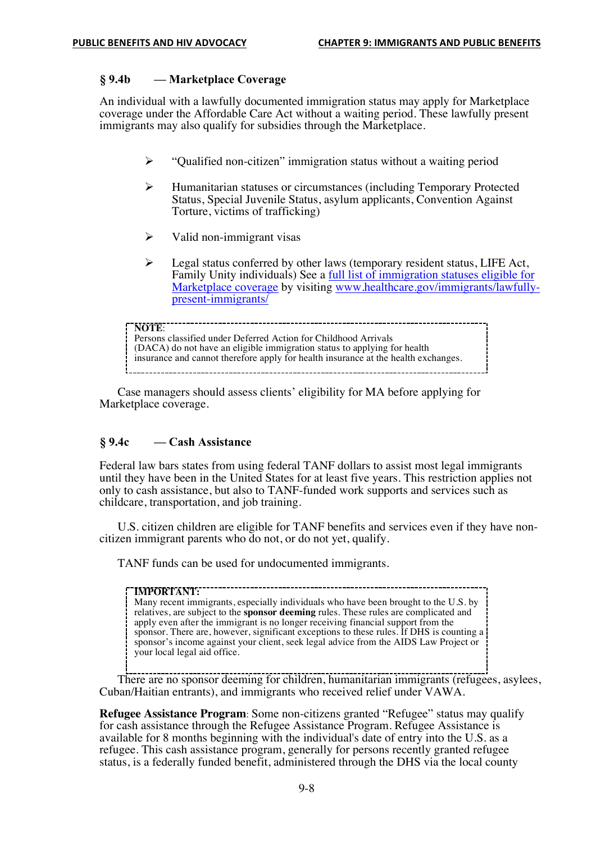## **§ 9.4b — Marketplace Coverage**

An individual with a lawfully documented immigration status may apply for Marketplace coverage under the Affordable Care Act without a waiting period. These lawfully present immigrants may also qualify for subsidies through the Marketplace.

- $\triangleright$  "Qualified non-citizen" immigration status without a waiting period
- $\triangleright$  Humanitarian statuses or circumstances (including Temporary Protected Status, Special Juvenile Status, asylum applicants, Convention Against Torture, victims of trafficking)
- $\triangleright$  Valid non-immigrant visas
- $\triangleright$  Legal status conferred by other laws (temporary resident status, LIFE Act, Family Unity individuals) See a full list of immigration statuses eligible for Marketplace coverage by visiting www.healthcare.gov/immigrants/lawfully- present-immigrants/

-------------------------**NOTE**: Persons classified under Deferred Action for Childhood Arrivals (DACA) do not have an eligible immigration status to applying for health insurance and cannot therefore apply for health insurance at the health exchanges.

Case managers should assess clients' eligibility for MA before applying for Marketplace coverage.

#### **§ 9.4c — Cash Assistance**

Federal law bars states from using federal TANF dollars to assist most legal immigrants until they have been in the United States for at least five years. This restriction applies not only to cash assistance, but also to TANF-funded work supports and services such as childcare, transportation, and job training.

U.S. citizen children are eligible for TANF benefits and services even if they have noncitizen immigrant parents who do not, or do not yet, qualify.

TANF funds can be used for undocumented immigrants.

------------------------------------**IMPORTANT:**  Many recent immigrants, especially individuals who have been brought to the U.S. by relatives, are subject to the **sponsor deeming** rules. These rules are complicated and apply even after the immigrant is no longer receiving financial support from the sponsor. There are, however, significant exceptions to these rules. If DHS is counting a sponsor's income against your client, seek legal advice from the AIDS Law Project or your local legal aid office.

There are no sponsor deeming for children, humanitarian immigrants (refugees, asylees, Cuban/Haitian entrants), and immigrants who received relief under VAWA.

**Refugee Assistance Program**: Some non-citizens granted "Refugee" status may qualify for cash assistance through the Refugee Assistance Program. Refugee Assistance is available for 8 months beginning with the individual's date of entry into the U.S. as a refugee. This cash assistance program, generally for persons recently granted refugee status, is a federally funded benefit, administered through the DHS via the local county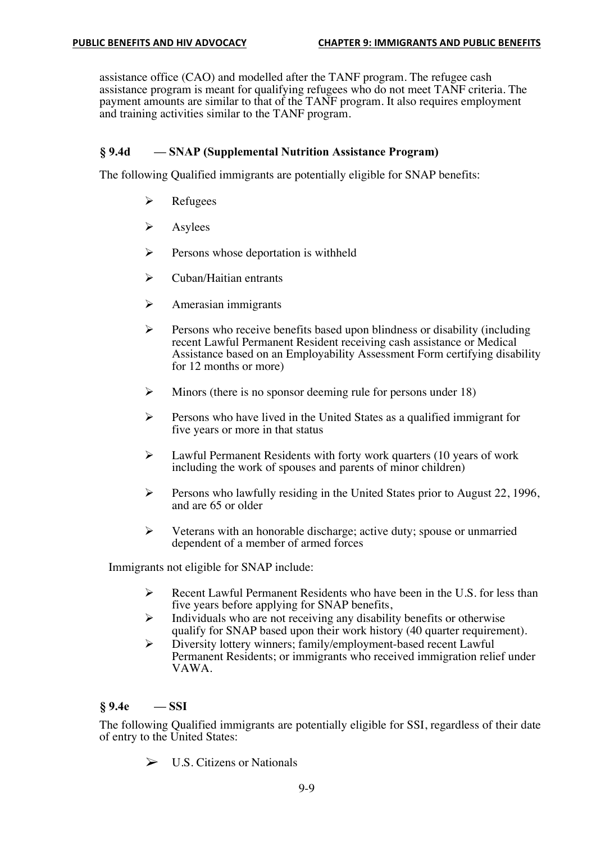assistance office (CAO) and modelled after the TANF program. The refugee cash assistance program is meant for qualifying refugees who do not meet TANF criteria. The payment amounts are similar to that of the TANF program. It also requires employment and training activities similar to the TANF program.

# **§ 9.4d — SNAP (Supplemental Nutrition Assistance Program)**

The following Qualified immigrants are potentially eligible for SNAP benefits:

- $\triangleright$  Refugees
- $\triangleright$  Asylees
- $\triangleright$  Persons whose deportation is withheld
- $\triangleright$  Cuban/Haitian entrants
- $\triangleright$  Amerasian immigrants
- $\triangleright$  Persons who receive benefits based upon blindness or disability (including recent Lawful Permanent Resident receiving cash assistance or Medical Assistance based on an Employability Assessment Form certifying disability for 12 months or more)
- $\triangleright$  Minors (there is no sponsor deeming rule for persons under 18)
- $\triangleright$  Persons who have lived in the United States as a qualified immigrant for five years or more in that status
- $\triangleright$  Lawful Permanent Residents with forty work quarters (10 years of work including the work of spouses and parents of minor children)
- $\triangleright$  Persons who lawfully residing in the United States prior to August 22, 1996, and are 65 or older
- $\triangleright$  Veterans with an honorable discharge; active duty; spouse or unmarried dependent of a member of armed forces

Immigrants not eligible for SNAP include:

- $\triangleright$  Recent Lawful Permanent Residents who have been in the U.S. for less than five years before applying for SNAP benefits,
- $\triangleright$  Individuals who are not receiving any disability benefits or otherwise qualify for SNAP based upon their work history (40 quarter requirement).
- Ø Diversity lottery winners; family/employment-based recent Lawful Permanent Residents; or immigrants who received immigration relief under VAWA.

# **§ 9.4e — SSI**

The following Qualified immigrants are potentially eligible for SSI, regardless of their date of entry to the United States:

 $\triangleright$  U.S. Citizens or Nationals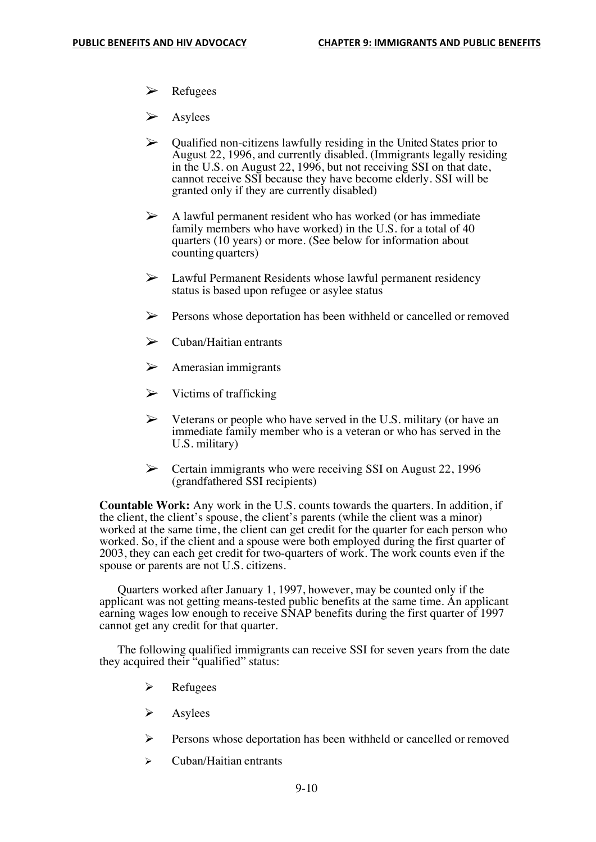- $\triangleright$  Refugees
- **Asylees**
- $\triangleright$  Qualified non-citizens lawfully residing in the United States prior to August 22, 1996, and currently disabled. (Immigrants legally residing in the U.S. on August 22, 1996, but not receiving SSI on that date, cannot receive SSI because they have become elderly. SSI will be granted only if they are currently disabled)
- $\triangleright$  A lawful permanent resident who has worked (or has immediate family members who have worked) in the U.S. for a total of 40 quarters (10 years) or more. (See below for information about counting quarters)
- $\triangleright$  Lawful Permanent Residents whose lawful permanent residency status is based upon refugee or asylee status
- $\triangleright$  Persons whose deportation has been withheld or cancelled or removed
- $\triangleright$  Cuban/Haitian entrants
- $\triangleright$  Amerasian immigrants
- $\triangleright$  Victims of trafficking
- $\triangleright$  Veterans or people who have served in the U.S. military (or have an immediate family member who is a veteran or who has served in the U.S. military)
- $\triangleright$  Certain immigrants who were receiving SSI on August 22, 1996 (grandfathered SSI recipients)

**Countable Work:** Any work in the U.S. counts towards the quarters. In addition, if the client, the client's spouse, the client's parents (while the client was a minor) worked at the same time, the client can get credit for the quarter for each person who worked. So, if the client and a spouse were both employed during the first quarter of 2003, they can each get credit for two-quarters of work. The work counts even if the spouse or parents are not U.S. citizens.

Quarters worked after January 1, 1997, however, may be counted only if the applicant was not getting means-tested public benefits at the same time. An applicant earning wages low enough to receive SNAP benefits during the first quarter of 1997 cannot get any credit for that quarter.

The following qualified immigrants can receive SSI for seven years from the date they acquired their "qualified" status:

- $\triangleright$  Refugees
- $\triangleright$  Asylees
- Ø Persons whose deportation has been withheld or cancelled or removed
- $\triangleright$  Cuban/Haitian entrants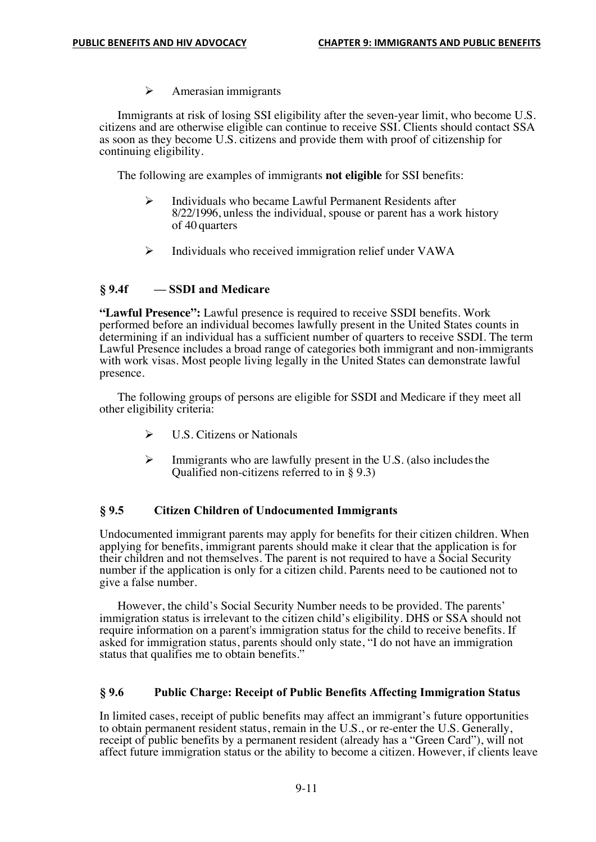$\triangleright$  Amerasian immigrants

Immigrants at risk of losing SSI eligibility after the seven-year limit, who become U.S. citizens and are otherwise eligible can continue to receive SSI. Clients should contact SSA as soon as they become U.S. citizens and provide them with proof of citizenship for continuing eligibility.

The following are examples of immigrants **not eligible** for SSI benefits:

- $\triangleright$  Individuals who became Lawful Permanent Residents after 8/22/1996, unless the individual, spouse or parent has a work history of 40 quarters
- $\triangleright$  Individuals who received immigration relief under VAWA

## **§ 9.4f — SSDI and Medicare**

**"Lawful Presence":** Lawful presence is required to receive SSDI benefits. Work performed before an individual becomes lawfully present in the United States counts in determining if an individual has a sufficient number of quarters to receive SSDI. The term Lawful Presence includes a broad range of categories both immigrant and non-immigrants with work visas. Most people living legally in the United States can demonstrate lawful presence.

The following groups of persons are eligible for SSDI and Medicare if they meet all other eligibility criteria:

- $\triangleright$  U.S. Citizens or Nationals
- $\triangleright$  Immigrants who are lawfully present in the U.S. (also includes the Qualified non-citizens referred to in § 9.3)

## **§ 9.5 Citizen Children of Undocumented Immigrants**

Undocumented immigrant parents may apply for benefits for their citizen children. When applying for benefits, immigrant parents should make it clear that the application is for their children and not themselves. The parent is not required to have a Social Security number if the application is only for a citizen child. Parents need to be cautioned not to give a false number.

However, the child's Social Security Number needs to be provided. The parents' immigration status is irrelevant to the citizen child's eligibility. DHS or SSA should not require information on a parent's immigration status for the child to receive benefits. If asked for immigration status, parents should only state, "I do not have an immigration status that qualifies me to obtain benefits."

## **§ 9.6 Public Charge: Receipt of Public Benefits Affecting Immigration Status**

In limited cases, receipt of public benefits may affect an immigrant's future opportunities to obtain permanent resident status, remain in the U.S., or re-enter the U.S. Generally, receipt of public benefits by a permanent resident (already has a "Green Card"), will not affect future immigration status or the ability to become a citizen. However, if clients leave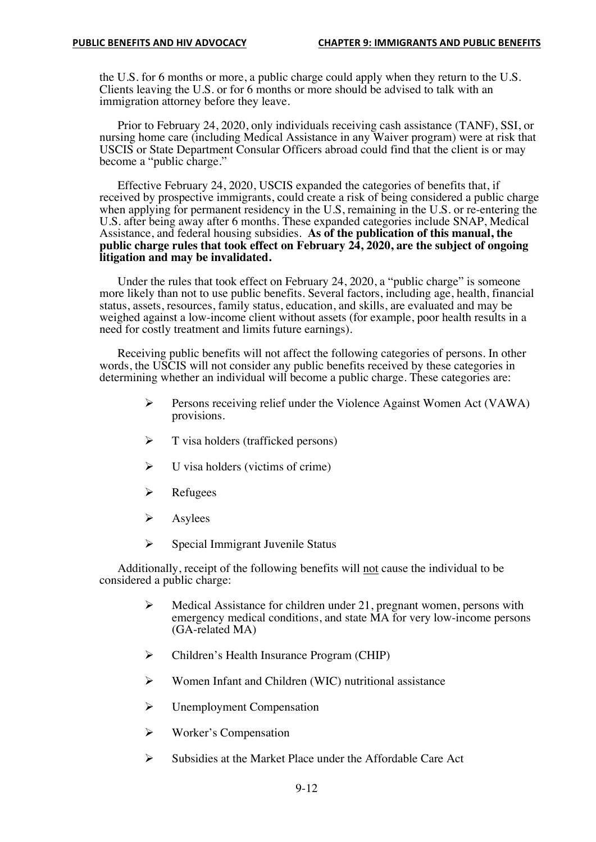the U.S. for 6 months or more, a public charge could apply when they return to the U.S. Clients leaving the U.S. or for 6 months or more should be advised to talk with an immigration attorney before they leave.

Prior to February 24, 2020, only individuals receiving cash assistance (TANF), SSI, or nursing home care (including Medical Assistance in any Waiver program) were at risk that USCIS or State Department Consular Officers abroad could find that the client is or may become a "public charge."

Effective February 24, 2020, USCIS expanded the categories of benefits that, if received by prospective immigrants, could create a risk of being considered a public charge when applying for permanent residency in the U.S, remaining in the U.S. or re-entering the U.S. after being away after 6 months. These expanded categories include SNAP, Medical Assistance, and federal housing subsidies. **As of the publication of this manual, the public charge rules that took effect on February 24, 2020, are the subject of ongoing litigation and may be invalidated.** 

Under the rules that took effect on February 24, 2020, a "public charge" is someone more likely than not to use public benefits. Several factors, including age, health, financial status, assets, resources, family status, education, and skills, are evaluated and may be weighed against a low-income client without assets (for example, poor health results in a need for costly treatment and limits future earnings).

Receiving public benefits will not affect the following categories of persons. In other words, the USCIS will not consider any public benefits received by these categories in determining whether an individual will become a public charge. These categories are:

- $\triangleright$  Persons receiving relief under the Violence Against Women Act (VAWA) provisions.
- $\triangleright$  T visa holders (trafficked persons)
- $\triangleright$  U visa holders (victims of crime)
- $\triangleright$  Refugees
- $\triangleright$  Asylees
- $\triangleright$  Special Immigrant Juvenile Status

Additionally, receipt of the following benefits will not cause the individual to be considered a public charge:

- $\triangleright$  Medical Assistance for children under 21, pregnant women, persons with emergency medical conditions, and state MA for very low-income persons (GA-related MA)
- $\triangleright$  Children's Health Insurance Program (CHIP)
- $\triangleright$  Women Infant and Children (WIC) nutritional assistance
- $\triangleright$  Unemployment Compensation
- $\triangleright$  Worker's Compensation
- Ø Subsidies at the Market Place under the Affordable Care Act